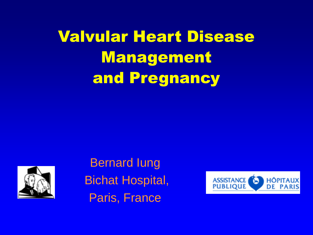# Valvular Heart Disease Management and Pregnancy



Bernard Iung Bichat Hospital, Paris, France

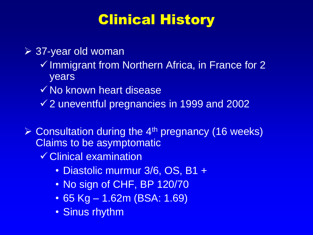# Clinical History

#### 37-year old woman

- $\checkmark$  Immigrant from Northern Africa, in France for 2 years
- √ No known heart disease
- 2 uneventful pregnancies in 1999 and 2002

 $\triangleright$  Consultation during the 4<sup>th</sup> pregnancy (16 weeks) Claims to be asymptomatic

- $\checkmark$  Clinical examination
	- Diastolic murmur 3/6, OS, B1 +
	- No sign of CHF, BP 120/70
	- 65 Kg 1.62m (BSA: 1.69)
	- Sinus rhythm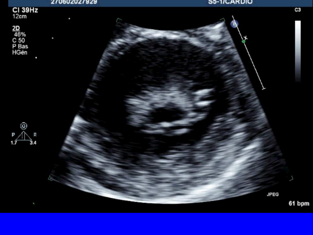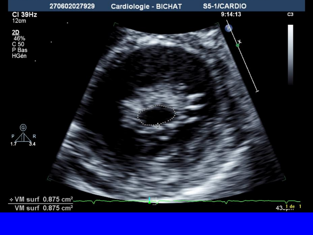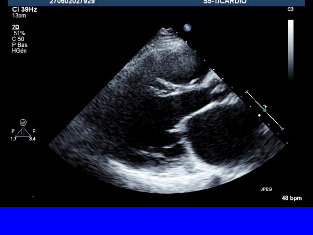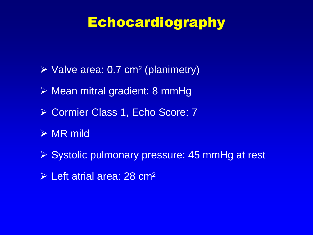## Echocardiography

- $\triangleright$  Valve area: 0.7 cm<sup>2</sup> (planimetry)
- Mean mitral gradient: 8 mmHg
- ▶ Cormier Class 1, Echo Score: 7
- $\triangleright$  MR mild
- ▶ Systolic pulmonary pressure: 45 mmHg at rest
- $\triangleright$  Left atrial area: 28 cm<sup>2</sup>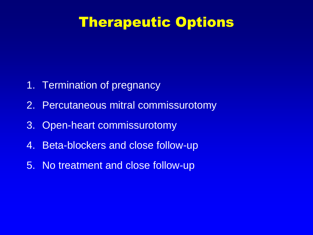## Therapeutic Options

- 1. Termination of pregnancy
- 2. Percutaneous mitral commissurotomy
- 3. Open-heart commissurotomy
- 4. Beta-blockers and close follow-up
- 5. No treatment and close follow-up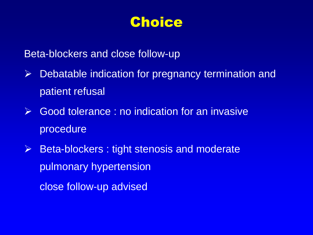## **Choice**

Beta-blockers and close follow-up

- Debatable indication for pregnancy termination and patient refusal
- $\triangleright$  Good tolerance : no indication for an invasive procedure
- ▶ Beta-blockers : tight stenosis and moderate pulmonary hypertension

close follow-up advised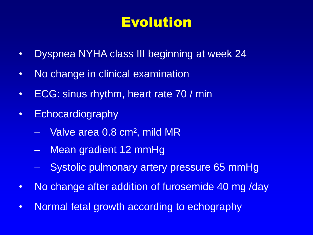## Evolution

- Dyspnea NYHA class III beginning at week 24
- No change in clinical examination
- ECG: sinus rhythm, heart rate 70 / min
- Echocardiography
	- Valve area 0.8 cm², mild MR
	- Mean gradient 12 mmHg
	- Systolic pulmonary artery pressure 65 mmHg
- No change after addition of furosemide 40 mg /day
- Normal fetal growth according to echography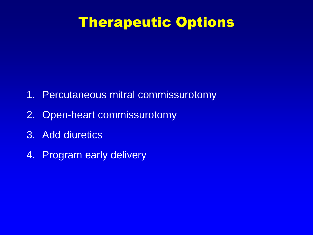## Therapeutic Options

- 1. Percutaneous mitral commissurotomy
- 2. Open-heart commissurotomy
- 3. Add diuretics
- 4. Program early delivery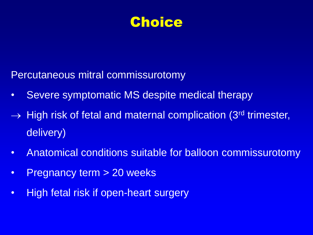

Percutaneous mitral commissurotomy

- Severe symptomatic MS despite medical therapy
- $\rightarrow$  High risk of fetal and maternal complication (3<sup>rd</sup> trimester, delivery)
- Anatomical conditions suitable for balloon commissurotomy
- Pregnancy term > 20 weeks
- High fetal risk if open-heart surgery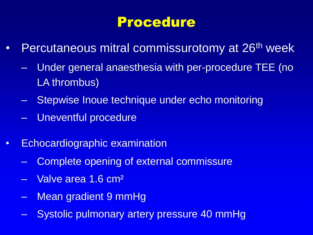## Procedure

- Percutaneous mitral commissurotomy at 26<sup>th</sup> week
	- Under general anaesthesia with per-procedure TEE (no LA thrombus)
	- Stepwise Inoue technique under echo monitoring
	- Uneventful procedure
- Echocardiographic examination
	- Complete opening of external commissure
	- Valve area 1.6 cm<sup>2</sup>
	- Mean gradient 9 mmHg
	- Systolic pulmonary artery pressure 40 mmHg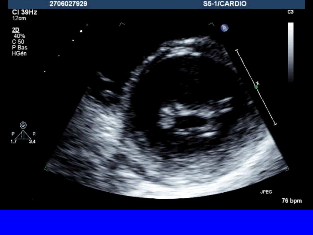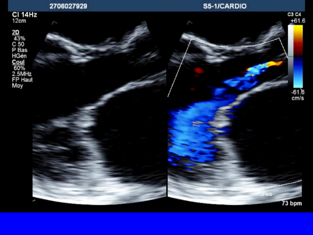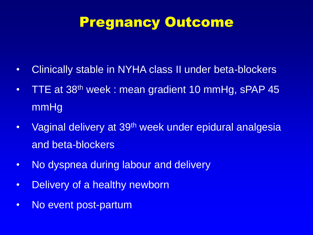## Pregnancy Outcome

- Clinically stable in NYHA class II under beta-blockers
- TTE at 38<sup>th</sup> week : mean gradient 10 mmHg, sPAP 45 mmHg
- Vaginal delivery at 39<sup>th</sup> week under epidural analgesia and beta-blockers
- No dyspnea during labour and delivery
- Delivery of a healthy newborn
- No event post-partum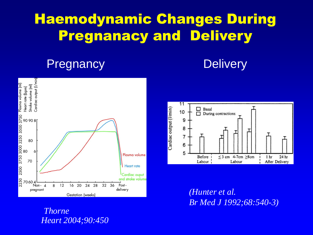# Haemodynamic Changes During Pregnanacy and Delivery

#### Pregnancy Delivery





*(Hunter et al. Br Med J 1992;68:540-3)*

*(Thorne Heart 2004;90:450-6)*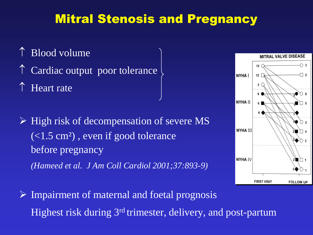#### Mitral Stenosis and Pregnancy

- Blood volume
- Cardiac output poor tolerance
- Heart rate
- $\triangleright$  High risk of decompensation of severe MS (<1.5 cm²) , even if good tolerance before pregnancy *(Hameed et al. J Am Coll Cardiol 2001;37:893-9)*



 $\triangleright$  Impairment of maternal and foetal prognosis Highest risk during 3rd trimester, delivery, and post-partum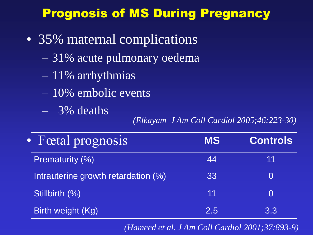#### Prognosis of MS During Pregnancy

- 35% maternal complications
	- 31% acute pulmonary oedema
	- 11% arrhythmias
	- 10% embolic events
	- 3% deaths

#### *(Elkayam J Am Coll Cardiol 2005;46:223-30)*

| • Fœtal prognosis                   | <b>IMS</b> | <b>Controls</b> |
|-------------------------------------|------------|-----------------|
| Prematurity (%)                     | 44         | 11              |
| Intrauterine growth retardation (%) | 33         |                 |
| Stillbirth (%)                      | 11         |                 |
| Birth weight (Kg)                   | 2.5        | 3.3             |

*(Hameed et al. J Am Coll Cardiol 2001;37:893-9)*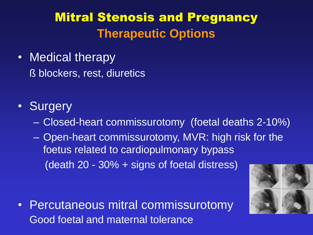## Mitral Stenosis and Pregnancy **Therapeutic Options**

- Medical therapy ß blockers, rest, diuretics
- Surgery
	- Closed-heart commissurotomy (foetal deaths 2-10%)
	- Open-heart commissurotomy, MVR: high risk for the foetus related to cardiopulmonary bypass (death 20 - 30% + signs of foetal distress)

• Percutaneous mitral commissurotomy Good foetal and maternal tolerance

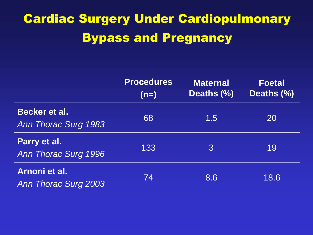# Cardiac Surgery Under Cardiopulmonary Bypass and Pregnancy

|                                       | <b>Procedures</b><br>$(n=)$ | <b>Maternal</b><br>Deaths (%) | <b>Foetal</b><br>Deaths (%) |
|---------------------------------------|-----------------------------|-------------------------------|-----------------------------|
| Becker et al.<br>Ann Thorac Surg 1983 | 68                          | 1.5                           | 20                          |
| Parry et al.<br>Ann Thorac Surg 1996  | 133                         | $\mathbf{3}$                  | 19                          |
| Arnoni et al.<br>Ann Thorac Surg 2003 | 74                          | 8.6                           | 18.6                        |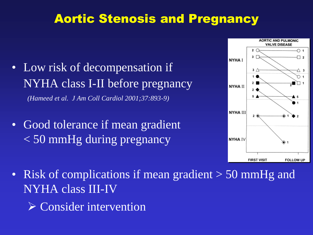## Aortic Stenosis and Pregnancy

- Low risk of decompensation if NYHA class I-II before pregnancy *(Hameed et al. J Am Coll Cardiol 2001;37:893-9)*
- Good tolerance if mean gradient < 50 mmHg during pregnancy



- Risk of complications if mean gradient > 50 mmHg and NYHA class III-IV
	- $\triangleright$  Consider intervention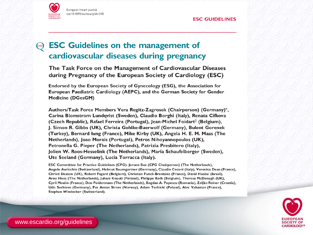

#### **ESC Guidelines on the management of** CME cardiovascular diseases during pregnancy

The Task Force on the Management of Cardiovascular Diseases during Pregnancy of the European Society of Cardiology (ESC)

Endorsed by the European Society of Gynecology (ESG), the Association for European Paediatric Cardiology (AEPC), and the German Society for Gender **Medicine (DGesGM)** 

Authors/Task Force Members Vera Regitz-Zagrosek (Chairperson) (Germany)\*, Carina Blomstrom Lundqvist (Sweden), Claudio Borghi (Italy), Renata Cifkova (Czech Republic), Rafael Ferreira (Portugal), Jean-Michel Foidart<sup>†</sup> (Belgium), J. Simon R. Gibbs (UK), Christa Gohlke-Baerwolf (Germany), Bulent Gorenek (Turkey), Bernard lung (France), Mike Kirby (UK), Angela H. E. M. Maas (The Netherlands), Joao Morais (Portugal), Petros Nihoyannopoulos (UK), Petronella G. Pieper (The Netherlands), Patrizia Presbitero (Italy), Jolien W. Roos-Hesselink (The Netherlands), Maria Schaufelberger (Sweden), Ute Seeland (Germany), Lucia Torracca (Italy).

ESC Committee for Practice Guidelines (CPG): Jeroen Bax (CPG Chairperson) (The Netherlands), Angelo Auricchio (Switzerland), Helmut Baumgartner (Germany), Claudio Ceconi (Italy), Veronica Dean (France), Christi Deaton (UK), Robert Fagard (Belgium), Christian Funck-Brentano (France), David Hasdai (Israel), Arno Hoes (The Netherlands), Juhani Knuuti (Finland), Philippe Kolh (Belgium), Theresa McDonagh (UK), Cyril Moulin (France), Don Poldermans (The Netherlands), Bogdan A. Popescu (Romania), Zeljko Reiner (Croatia), Udo Sechtem (Germany), Per Anton Sirnes (Norway), Adam Torbicki (Poland), Alec Vahanian (France), Stephan Windecker (Switzerland).



www.escardio.org/guidelines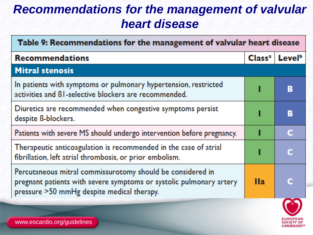## *Recommendations for the management of valvular heart disease*

| Table 9: Recommendations for the management of valvular heart disease                                                                                                           |                    |                    |
|---------------------------------------------------------------------------------------------------------------------------------------------------------------------------------|--------------------|--------------------|
| <b>Recommendations</b>                                                                                                                                                          | Class <sup>a</sup> | Level <sup>b</sup> |
| <b>Mitral stenosis</b>                                                                                                                                                          |                    |                    |
| In patients with symptoms or pulmonary hypertension, restricted<br>activities and BI-selective blockers are recommended.                                                        |                    | в                  |
| Diuretics are recommended when congestive symptoms persist<br>despite B-blockers.                                                                                               |                    | в                  |
| Patients with severe MS should undergo intervention before pregnancy.                                                                                                           |                    | c                  |
| Therapeutic anticoagulation is recommended in the case of atrial<br>fibrillation, left atrial thrombosis, or prior embolism.                                                    |                    | c                  |
| Percutaneous mitral commissurotomy should be considered in<br>pregnant patients with severe symptoms or systolic pulmonary artery<br>pressure >50 mmHg despite medical therapy. |                    | c                  |
|                                                                                                                                                                                 |                    |                    |

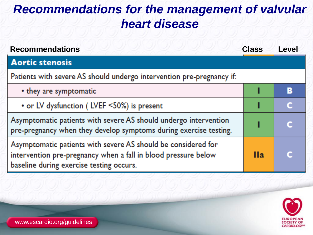## *Recommendations for the management of valvular heart disease*

| <b>Recommendations</b>                                                                                                                                                      | <b>Class</b> | <b>Level</b> |
|-----------------------------------------------------------------------------------------------------------------------------------------------------------------------------|--------------|--------------|
| <b>Aortic stenosis</b>                                                                                                                                                      |              |              |
| Patients with severe AS should undergo intervention pre-pregnancy if:                                                                                                       |              |              |
| • they are symptomatic                                                                                                                                                      |              | в            |
| • or LV dysfunction (LVEF <50%) is present                                                                                                                                  |              | C            |
| Asymptomatic patients with severe AS should undergo intervention<br>pre-pregnancy when they develop symptoms during exercise testing.                                       |              | c            |
| Asymptomatic patients with severe AS should be considered for<br>intervention pre-pregnancy when a fall in blood pressure below<br>baseline during exercise testing occurs. |              | c            |

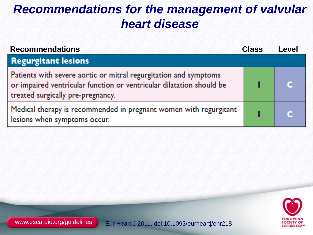## *Recommendations for the management of valvular heart disease*

| <b>Recommendations</b>                                                                                                                                                        | <b>Class</b> | Level |
|-------------------------------------------------------------------------------------------------------------------------------------------------------------------------------|--------------|-------|
| <b>Regurgitant lesions</b>                                                                                                                                                    |              |       |
| Patients with severe aortic or mitral regurgitation and symptoms<br>or impaired ventricular function or ventricular dilatation should be<br>treated surgically pre-pregnancy. |              |       |
| Medical therapy is recommended in pregnant women with regurgitant<br>lesions when symptoms occur.                                                                             |              |       |